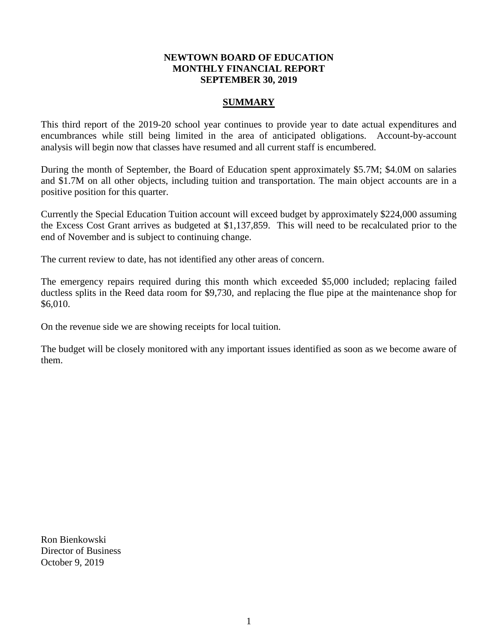### **NEWTOWN BOARD OF EDUCATION MONTHLY FINANCIAL REPORT SEPTEMBER 30, 2019**

## **SUMMARY**

This third report of the 2019-20 school year continues to provide year to date actual expenditures and encumbrances while still being limited in the area of anticipated obligations. Account-by-account analysis will begin now that classes have resumed and all current staff is encumbered.

During the month of September, the Board of Education spent approximately \$5.7M; \$4.0M on salaries and \$1.7M on all other objects, including tuition and transportation. The main object accounts are in a positive position for this quarter.

Currently the Special Education Tuition account will exceed budget by approximately \$224,000 assuming the Excess Cost Grant arrives as budgeted at \$1,137,859. This will need to be recalculated prior to the end of November and is subject to continuing change.

The current review to date, has not identified any other areas of concern.

The emergency repairs required during this month which exceeded \$5,000 included; replacing failed ductless splits in the Reed data room for \$9,730, and replacing the flue pipe at the maintenance shop for \$6,010.

On the revenue side we are showing receipts for local tuition.

The budget will be closely monitored with any important issues identified as soon as we become aware of them.

Ron Bienkowski Director of Business October 9, 2019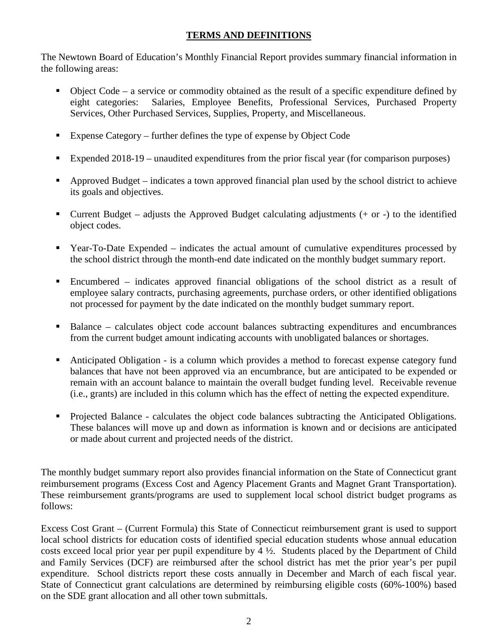# **TERMS AND DEFINITIONS**

The Newtown Board of Education's Monthly Financial Report provides summary financial information in the following areas:

- $\bullet$  Object Code a service or commodity obtained as the result of a specific expenditure defined by eight categories: Salaries, Employee Benefits, Professional Services, Purchased Property Services, Other Purchased Services, Supplies, Property, and Miscellaneous.
- Expense Category further defines the type of expense by Object Code
- Expended  $2018-19$  unaudited expenditures from the prior fiscal year (for comparison purposes)
- Approved Budget indicates a town approved financial plan used by the school district to achieve its goals and objectives.
- Current Budget adjusts the Approved Budget calculating adjustments  $(+)$  or  $-)$  to the identified object codes.
- Year-To-Date Expended indicates the actual amount of cumulative expenditures processed by the school district through the month-end date indicated on the monthly budget summary report.
- Encumbered indicates approved financial obligations of the school district as a result of employee salary contracts, purchasing agreements, purchase orders, or other identified obligations not processed for payment by the date indicated on the monthly budget summary report.
- Balance calculates object code account balances subtracting expenditures and encumbrances from the current budget amount indicating accounts with unobligated balances or shortages.
- Anticipated Obligation is a column which provides a method to forecast expense category fund balances that have not been approved via an encumbrance, but are anticipated to be expended or remain with an account balance to maintain the overall budget funding level. Receivable revenue (i.e., grants) are included in this column which has the effect of netting the expected expenditure.
- Projected Balance calculates the object code balances subtracting the Anticipated Obligations. These balances will move up and down as information is known and or decisions are anticipated or made about current and projected needs of the district.

The monthly budget summary report also provides financial information on the State of Connecticut grant reimbursement programs (Excess Cost and Agency Placement Grants and Magnet Grant Transportation). These reimbursement grants/programs are used to supplement local school district budget programs as follows:

Excess Cost Grant – (Current Formula) this State of Connecticut reimbursement grant is used to support local school districts for education costs of identified special education students whose annual education costs exceed local prior year per pupil expenditure by 4 ½. Students placed by the Department of Child and Family Services (DCF) are reimbursed after the school district has met the prior year's per pupil expenditure. School districts report these costs annually in December and March of each fiscal year. State of Connecticut grant calculations are determined by reimbursing eligible costs (60%-100%) based on the SDE grant allocation and all other town submittals.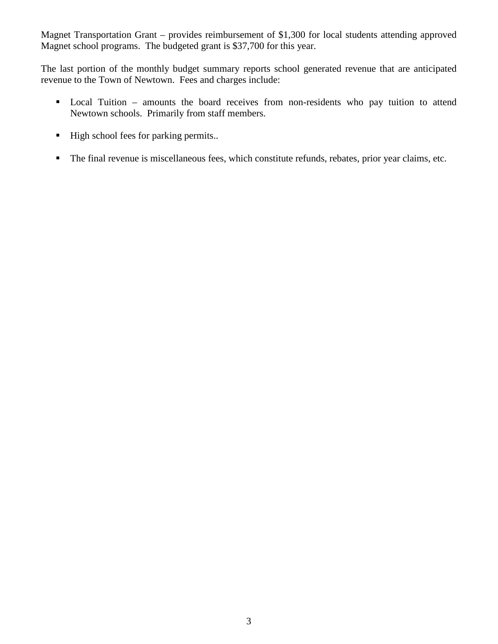Magnet Transportation Grant – provides reimbursement of \$1,300 for local students attending approved Magnet school programs. The budgeted grant is \$37,700 for this year.

The last portion of the monthly budget summary reports school generated revenue that are anticipated revenue to the Town of Newtown. Fees and charges include:

- Local Tuition amounts the board receives from non-residents who pay tuition to attend Newtown schools. Primarily from staff members.
- $\blacksquare$  High school fees for parking permits..
- The final revenue is miscellaneous fees, which constitute refunds, rebates, prior year claims, etc.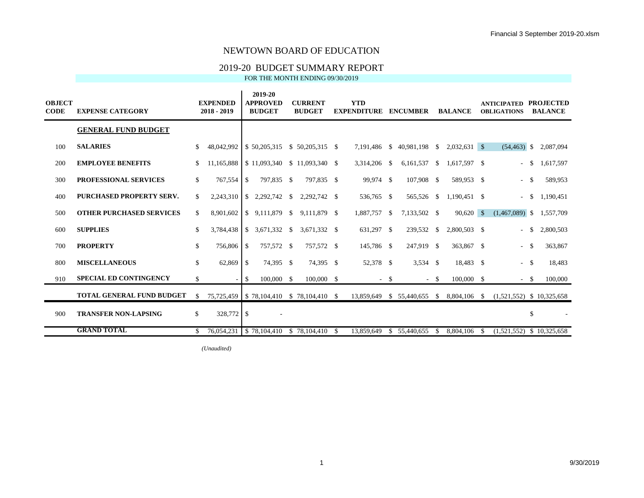#### 2019-20 BUDGET SUMMARY REPORT

FOR THE MONTH ENDING 09/30/2019

| <b>OBJECT</b><br><b>CODE</b> | <b>EXPENSE CATEGORY</b>          |              | <b>EXPENDED</b><br>2018 - 2019 |               | 2019-20<br><b>APPROVED</b><br><b>BUDGET</b> | <b>CURRENT</b><br><b>BUDGET</b>                 |     | <b>YTD</b><br><b>EXPENDITURE</b> |               | <b>ENCUMBER</b> |        | <b>BALANCE</b> | <b>ANTICIPATED</b><br><b>OBLIGATIONS</b> |          | <b>PROJECTED</b><br><b>BALANCE</b> |
|------------------------------|----------------------------------|--------------|--------------------------------|---------------|---------------------------------------------|-------------------------------------------------|-----|----------------------------------|---------------|-----------------|--------|----------------|------------------------------------------|----------|------------------------------------|
|                              | <b>GENERAL FUND BUDGET</b>       |              |                                |               |                                             |                                                 |     |                                  |               |                 |        |                |                                          |          |                                    |
| 100                          | <b>SALARIES</b>                  | \$           | 48,042,992                     |               | \$50,205,315                                | \$50,205,315                                    | -\$ | 7,191,486                        | $\mathcal{S}$ | 40,981,198 \$   |        | $2,032,631$ \$ | $(54, 463)$ \$                           |          | 2,087,094                          |
| 200                          | <b>EMPLOYEE BENEFITS</b>         | \$           | 11,165,888                     |               | \$11,093,340                                | $$11,093,340$ \\$                               |     | 3,314,206                        | -S            | 6,161,537       | - \$   | 1,617,597 \$   |                                          | -S       | 1,617,597                          |
| 300                          | <b>PROFESSIONAL SERVICES</b>     | \$           | 767,554                        | -S            | 797,835 \$                                  | 797,835 \$                                      |     | 99,974 \$                        |               | 107,908 \$      |        | 589,953 \$     | $\overline{\phantom{a}}$                 | - \$     | 589,953                            |
| 400                          | <b>PURCHASED PROPERTY SERV.</b>  | \$           | 2,243,310                      | <sup>S</sup>  | 2,292,742 \$                                | 2,292,742 \$                                    |     | 536,765 \$                       |               | 565,526 \$      |        | $1,190,451$ \$ |                                          | - \$     | 1,190,451                          |
| 500                          | <b>OTHER PURCHASED SERVICES</b>  | \$           | 8,901,602                      | S.            | 9,111,879 \$                                | 9,111,879 \$                                    |     | 1,887,757 \$                     |               | 7,133,502 \$    |        | $90,620$ \$    | $(1,467,089)$ \$                         |          | 1,557,709                          |
| 600                          | <b>SUPPLIES</b>                  | \$           | 3,784,438                      | <sup>\$</sup> | 3,671,332 \$                                | 3,671,332 \$                                    |     | 631,297 \$                       |               | 239,532 \$      |        | 2,800,503 \$   | $\sim$                                   | -S       | 2,800,503                          |
| 700                          | <b>PROPERTY</b>                  | \$           | 756,806 \$                     |               | 757,572 \$                                  | 757,572 \$                                      |     | 145,786 \$                       |               | 247,919 \$      |        | 363,867 \$     | $\sim$                                   | -S       | 363,867                            |
| 800                          | <b>MISCELLANEOUS</b>             | \$           | 62,869                         | -S            | 74,395 \$                                   | 74,395 \$                                       |     | 52,378 \$                        |               | $3,534$ \$      |        | 18,483 \$      | $\sim$                                   | <b>S</b> | 18,483                             |
| 910                          | <b>SPECIAL ED CONTINGENCY</b>    | \$           |                                | -\$           | 100,000 \$                                  | $100,000$ \$                                    |     |                                  | $-$ \$        |                 | $-$ \$ | 100,000 \$     |                                          | $-$ \$   | 100,000                            |
|                              | <b>TOTAL GENERAL FUND BUDGET</b> | -S           |                                |               |                                             | 75,725,459 \ \$ 78,104,410 \ \$ 78,104,410 \ \$ |     | 13,859,649                       |               | \$ 55,440,655   | - \$   | 8,804,106 \$   | $(1,521,552)$ \$ 10,325,658              |          |                                    |
| 900                          | <b>TRANSFER NON-LAPSING</b>      | $\mathbb{S}$ | 328,772 \$                     |               |                                             |                                                 |     |                                  |               |                 |        |                |                                          | \$       |                                    |
|                              | <b>GRAND TOTAL</b>               | \$.          | 76,054,231                     |               | \$78,104,410                                | \$78,104,410                                    | -S  | 13,859,649                       | <sup>\$</sup> | 55,440,655      | -S     | 8.804.106      | $(1.521.552)$ \$ 10.325.658              |          |                                    |

 $(Unaudited)$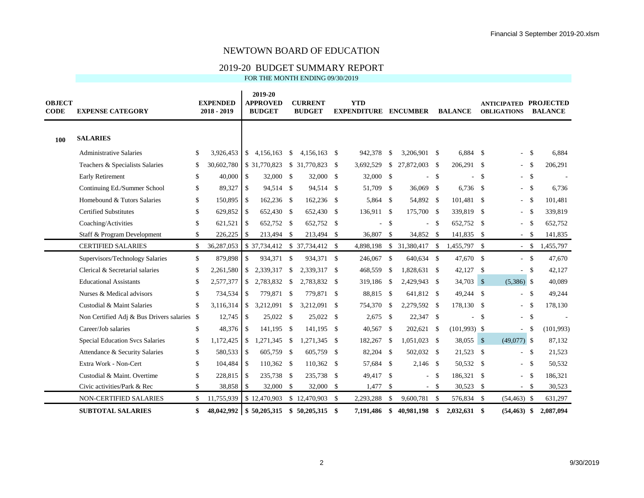#### 2019-20 BUDGET SUMMARY REPORT

| <b>OBJECT</b><br><b>CODE</b> | <b>EXPENSE CATEGORY</b>                     |     | <b>EXPENDED</b><br>2018 - 2019 |                          | 2019-20<br><b>APPROVED</b><br><b>BUDGET</b> |          | <b>CURRENT</b><br><b>BUDGET</b> |               | <b>YTD</b><br><b>EXPENDITURE</b> |              | <b>ENCUMBER</b> |               | <b>BALANCE</b> |              | <b>ANTICIPATED</b><br><b>OBLIGATIONS</b> |              | <b>PROJECTED</b><br><b>BALANCE</b> |
|------------------------------|---------------------------------------------|-----|--------------------------------|--------------------------|---------------------------------------------|----------|---------------------------------|---------------|----------------------------------|--------------|-----------------|---------------|----------------|--------------|------------------------------------------|--------------|------------------------------------|
| 100                          | <b>SALARIES</b>                             |     |                                |                          |                                             |          |                                 |               |                                  |              |                 |               |                |              |                                          |              |                                    |
|                              | <b>Administrative Salaries</b>              | \$  | 3,926,453                      |                          | \$4,156,163                                 | -S       | 4,156,163                       | <sup>\$</sup> | 942,378                          | -S           | 3,206,901       | -S            | 6,884 \$       |              |                                          | $-$ \$       | 6,884                              |
|                              | Teachers & Specialists Salaries             | \$. | 30,602,780                     |                          | \$31,770,823                                |          | \$ 31,770,823                   | <sup>\$</sup> | 3,692,529                        | $\mathbb{S}$ | 27,872,003      | - \$          | 206,291 \$     |              | $\overline{\phantom{a}}$                 | - \$         | 206,291                            |
|                              | <b>Early Retirement</b>                     | \$  | 40,000                         | \$                       | 32,000 \$                                   |          | 32,000                          | $\mathbb{S}$  | 32,000 \$                        |              |                 | <sup>\$</sup> |                | $\mathbf{s}$ | $\sim$                                   | $\mathbf{s}$ |                                    |
|                              | Continuing Ed./Summer School                | \$  | 89,327                         | $\overline{\phantom{a}}$ | 94,514 \$                                   |          | 94,514                          | -S            | 51,709 \$                        |              | 36,069 \$       |               | $6,736$ \$     |              | $\sim$                                   | $\mathbf{s}$ | 6,736                              |
|                              | Homebound & Tutors Salaries                 | \$  | 150,895 \$                     |                          | 162,236 \$                                  |          | 162,236                         | <sup>\$</sup> | 5,864 \$                         |              | 54,892 \$       |               | 101,481 \$     |              | $\sim$                                   | \$           | 101,481                            |
|                              | <b>Certified Substitutes</b>                | \$  | $629,852$ \$                   |                          | 652,430 \$                                  |          | 652,430                         | <sup>\$</sup> | 136,911 \$                       |              | 175,700 \$      |               | 339,819 \$     |              | $\sim$                                   | - \$         | 339,819                            |
|                              | Coaching/Activities                         | \$  | 621,521                        | $\vert$ s                | 652,752 \$                                  |          | 652,752                         | $\mathbb{S}$  | ÷.                               | <b>S</b>     | ÷.              | $\mathbb{S}$  | 652,752 \$     |              | $\blacksquare$                           | - \$         | 652,752                            |
|                              | Staff & Program Development                 | \$  | $226,225$ \$                   |                          | 213,494 \$                                  |          | 213,494 \$                      |               | 36,807 \$                        |              | 34,852 \$       |               | 141,835 \$     |              |                                          | $-$ \$       | 141,835                            |
|                              | <b>CERTIFIED SALARIES</b>                   | \$  | 36,287,053                     |                          |                                             |          | \$37,734,412 \$37,734,412 \$    |               | 4,898,198                        | \$           | 31,380,417      | -S            | 1,455,797 \$   |              | $-$ \$                                   |              | 1,455,797                          |
|                              | Supervisors/Technology Salaries             | \$  | 879,898                        | \$                       | 934,371 \$                                  |          | 934,371 \$                      |               | 246,067 \$                       |              | 640,634 \$      |               | 47,670 \$      |              |                                          | $-$ \$       | 47,670                             |
|                              | Clerical & Secretarial salaries             | \$  | 2,261,580                      |                          | \$ 2,339,317                                | -S       | 2,339,317                       | <sup>\$</sup> | 468,559                          | $\mathbf{s}$ | 1,828,631 \$    |               | 42,127 \$      |              | $\sim$                                   | <b>S</b>     | 42,127                             |
|                              | <b>Educational Assistants</b>               | \$. | 2,577,377                      | \$                       | 2,783,832 \$                                |          | 2,783,832                       | -S            | 319,186 \$                       |              | 2,429,943 \$    |               | 34,703 \$      |              | $(5,386)$ \$                             |              | 40,089                             |
|                              | Nurses & Medical advisors                   | \$  | 734,534 \$                     |                          | 779,871 \$                                  |          | 779,871 \$                      |               | 88,815 \$                        |              | 641,812 \$      |               | 49,244 \$      |              |                                          | $-$ \$       | 49,244                             |
|                              | Custodial & Maint Salaries                  | \$  | 3,116,314                      | \$                       | 3,212,091                                   | -S       | 3,212,091                       | -S            | 754,370                          | - \$         | 2,279,592 \$    |               | 178,130 \$     |              | $\sim$                                   | - \$         | 178,130                            |
|                              | Non Certified Adj & Bus Drivers salaries \$ |     |                                |                          | 25,022 \$                                   |          | 25,022 \$                       |               | $2,675$ \$                       |              | 22,347 \$       |               |                | $\mathbf s$  | $-$ \$                                   |              |                                    |
|                              | Career/Job salaries                         | \$  | 48,376 \$                      |                          | 141,195 \$                                  |          | 141,195                         | <sup>\$</sup> | 40,567 \$                        |              | 202,621 \$      |               | $(101,993)$ \$ |              | $\blacksquare$                           | -\$          | (101,993)                          |
|                              | Special Education Svcs Salaries             | \$  | 1,172,425                      | \$                       | 1,271,345                                   | <b>S</b> | 1,271,345                       | <sup>\$</sup> | 182,267                          | \$           | 1,051,023       | - \$          | 38,055 \$      |              | $(49,077)$ \$                            |              | 87,132                             |
|                              | Attendance & Security Salaries              | \$  | 580,533 \$                     |                          | 605,759 \$                                  |          | 605,759                         | $\mathcal{S}$ | 82,204 \$                        |              | 502,032 \$      |               | 21,523 \$      |              |                                          | $-$ \$       | 21,523                             |
|                              | Extra Work - Non-Cert                       | \$  | 104,484 \$                     |                          | 110,362 \$                                  |          | $110,362$ \$                    |               | 57,684 \$                        |              | $2,146$ \$      |               | 50,532 \$      |              |                                          | $- S$        | 50,532                             |
|                              | Custodial & Maint. Overtime                 | \$  | 228,815 \$                     |                          | 235,738 \$                                  |          | 235,738                         | -\$           | 49,417 \$                        |              |                 | -S            | 186,321 \$     |              | $\bar{a}$                                | <b>S</b>     | 186,321                            |
|                              | Civic activities/Park & Rec                 | \$  | 38,858 \$                      |                          | 32,000 \$                                   |          | 32,000                          | $\mathbb{S}$  | $1,477$ \$                       |              |                 | $-$ \$        | 30,523 \$      |              | $-$ \$                                   |              | 30,523                             |
|                              | NON-CERTIFIED SALARIES                      | \$  | 11,755,939                     |                          | \$12,470,903                                |          | \$12,470,903                    | -S            | 2,293,288                        | <b>S</b>     | 9,600,781 \$    |               | 576,834 \$     |              | $(54, 463)$ \$                           |              | 631,297                            |
|                              | <b>SUBTOTAL SALARIES</b>                    | \$  | 48.042.992                     |                          | \$50,205,315                                |          | \$50,205,315                    | \$            | 7.191.486                        | \$.          | 40,981,198      | \$            | $2,032,631$ \$ |              | $(54, 463)$ \$                           |              | 2,087,094                          |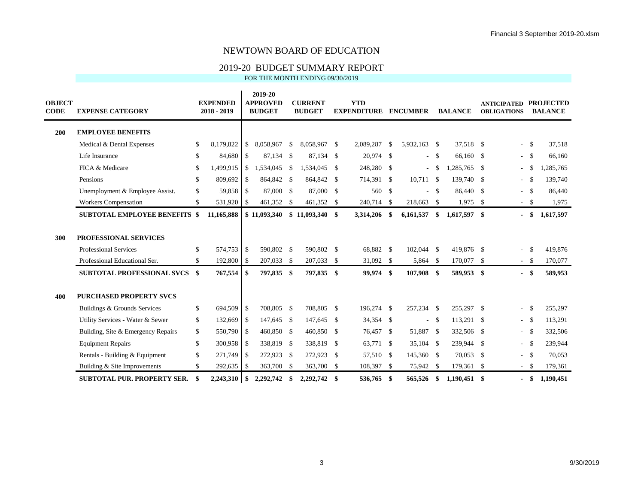### 2019-20 BUDGET SUMMARY REPORT

| <b>OBJECT</b><br><b>CODE</b> | <b>EXPENSE CATEGORY</b>                                                                |          | <b>EXPENDED</b><br>2018 - 2019 |               | 2019-20<br><b>APPROVED</b><br><b>BUDGET</b> |               | <b>CURRENT</b><br><b>BUDGET</b> |      | <b>YTD</b><br><b>EXPENDITURE</b> |      | <b>ENCUMBER</b>        |              | <b>BALANCE</b>           | <b>ANTICIPATED</b><br><b>OBLIGATIONS</b> |              | <b>PROJECTED</b><br><b>BALANCE</b> |
|------------------------------|----------------------------------------------------------------------------------------|----------|--------------------------------|---------------|---------------------------------------------|---------------|---------------------------------|------|----------------------------------|------|------------------------|--------------|--------------------------|------------------------------------------|--------------|------------------------------------|
| 200                          | <b>EMPLOYEE BENEFITS</b>                                                               |          |                                |               |                                             |               |                                 |      |                                  |      |                        |              |                          |                                          |              |                                    |
|                              | Medical & Dental Expenses                                                              | \$       | 8,179,822                      | $\mathbb{S}$  | 8,058,967                                   | $\mathbb{S}$  | 8,058,967 \$                    |      | 2,089,287                        | -S   | 5,932,163 \$           |              | 37.518 \$                |                                          | $-$ \$       | 37,518                             |
|                              | Life Insurance                                                                         | \$       | 84,680                         | $\mathcal{S}$ | 87,134 \$                                   |               | 87,134 \$                       |      | 20,974 \$                        |      |                        | $- S$        | 66,160 \$                |                                          | $-$ \$       | 66,160                             |
|                              | FICA & Medicare                                                                        | \$       | 1,499,915                      | $\mathbb{S}$  | 1,534,045                                   | <sup>\$</sup> | 1,534,045                       | - \$ | 248,280 \$                       |      | $\sim$                 | - \$         | 1,285,765 \$             | ٠                                        | -S           | 1,285,765                          |
|                              | Pensions                                                                               | \$       | 809,692                        | <sup>\$</sup> | 864,842 \$                                  |               | 864,842 \$                      |      | 714,391 \$                       |      | $10,711$ \$            |              | 139,740 \$               |                                          | $-$ \$       | 139,740                            |
|                              | Unemployment & Employee Assist.                                                        | \$       | 59,858 \$                      |               | 87,000 \$                                   |               | 87,000 \$                       |      | 560 \$                           |      |                        | - \$         | 86,440 \$                | $\sim$                                   | $\mathbf{s}$ | 86,440                             |
|                              | Workers Compensation                                                                   | \$       | 531,920                        | -\$           | 461,352 \$                                  |               | 461,352 \$                      |      | 240,714                          | -S   | 218,663                | $\mathbf{s}$ | $1,975$ \$               |                                          | $-$ \$       | 1,975                              |
|                              | <b>SUBTOTAL EMPLOYEE BENEFITS \$</b>                                                   |          | 11,165,888                     |               | \$11,093,340                                |               | $$11,093,340$ \, \$             |      | 3,314,206                        | -\$  | 6,161,537              | \$           | $1,617,597$ \$           | $\blacksquare$                           | - \$         | 1,617,597                          |
| 300                          | <b>PROFESSIONAL SERVICES</b><br>Professional Services<br>Professional Educational Ser. | \$<br>\$ | 574,753<br>192,800 \$          | \$            | 590,802 \$<br>207,033 \$                    |               | 590,802 \$<br>207,033 \$        |      | 68,882 \$<br>31,092 \$           |      | 102,044 \$<br>5,864 \$ |              | 419,876 \$<br>170,077 \$ | ÷.                                       | \$<br>$-$ \$ | 419,876<br>170,077                 |
|                              | <b>SUBTOTAL PROFESSIONAL SVCS \$</b>                                                   |          | 767,554                        | \$            | 797,835 \$                                  |               | 797,835 \$                      |      | 99,974 \$                        |      | 107,908 \$             |              | 589,953 \$               |                                          | $-$ \$       | 589,953                            |
| 400                          | <b>PURCHASED PROPERTY SVCS</b>                                                         |          |                                |               |                                             |               |                                 |      |                                  |      |                        |              |                          |                                          |              |                                    |
|                              | Buildings & Grounds Services                                                           | \$       | 694,509                        | \$            | 708,805 \$                                  |               | 708,805 \$                      |      | 196,274 \$                       |      | 257,234 \$             |              | 255,297 \$               | $\bar{a}$                                | \$           | 255,297                            |
|                              | Utility Services - Water & Sewer                                                       | \$       | 132,669                        | -\$           | 147,645 \$                                  |               | 147,645 \$                      |      | 34,354 \$                        |      | $\sim$                 | - \$         | 113,291 \$               |                                          | $-$ \$       | 113,291                            |
|                              | Building, Site & Emergency Repairs                                                     | \$       | 550,790 \$                     |               | 460,850 \$                                  |               | 460,850 \$                      |      | 76,457 \$                        |      | 51,887 \$              |              | 332,506 \$               | $\sim$                                   | $\mathbf{s}$ | 332,506                            |
|                              | <b>Equipment Repairs</b>                                                               | \$       | 300,958                        | -\$           | 338,819 \$                                  |               | 338,819                         | - \$ | 63,771 \$                        |      | 35,104 \$              |              | 239,944 \$               | $\overline{\phantom{a}}$                 | $\mathbf{s}$ | 239,944                            |
|                              | Rentals - Building & Equipment                                                         | \$       | 271,749 \$                     |               | 272,923 \$                                  |               | 272,923 \$                      |      | 57,510 \$                        |      | 145,360 \$             |              | 70,053 \$                | $\overline{\phantom{a}}$                 | $\mathbf{s}$ | 70,053                             |
|                              | Building & Site Improvements                                                           | \$       | 292,635                        | -S            | 363,700                                     | - \$          | 363,700 \$                      |      | 108,397                          | - \$ | 75,942 \$              |              | 179,361 \$               | $\sim$                                   | $\mathbf{s}$ | 179,361                            |
|                              | <b>SUBTOTAL PUR. PROPERTY SER.</b>                                                     | \$       | 2,243,310                      | \$            | 2,292,742                                   | \$            | 2,292,742                       | -\$  | 536,765                          | -\$  | 565,526                | - \$         | $1,190,451$ \$           |                                          | \$           | 1,190,451                          |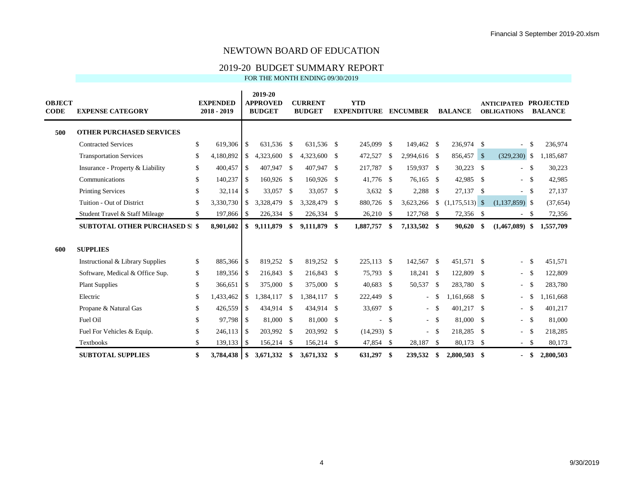### 2019-20 BUDGET SUMMARY REPORT

| <b>OBJECT</b><br><b>CODE</b> | <b>EXPENSE CATEGORY</b>               |              | <b>EXPENDED</b><br>2018 - 2019 |               | 2019-20<br><b>APPROVED</b><br><b>BUDGET</b> |              | <b>CURRENT</b><br><b>BUDGET</b> |      | <b>YTD</b><br><b>EXPENDITURE</b> |               | <b>ENCUMBER</b>          |      | <b>BALANCE</b> | <b>ANTICIPATED</b><br><b>OBLIGATIONS</b> |              | <b>PROJECTED</b><br><b>BALANCE</b> |
|------------------------------|---------------------------------------|--------------|--------------------------------|---------------|---------------------------------------------|--------------|---------------------------------|------|----------------------------------|---------------|--------------------------|------|----------------|------------------------------------------|--------------|------------------------------------|
| 500                          | <b>OTHER PURCHASED SERVICES</b>       |              |                                |               |                                             |              |                                 |      |                                  |               |                          |      |                |                                          |              |                                    |
|                              | <b>Contracted Services</b>            | $\mathbb{S}$ | 619,306                        | \$            | 631,536 \$                                  |              | 631,536 \$                      |      | 245,099                          | -S            | 149,462 \$               |      | 236,974 \$     |                                          | \$           | 236,974                            |
|                              | <b>Transportation Services</b>        | \$           | 4,180,892                      | \$            | 4,323,600                                   | \$           | 4,323,600 \$                    |      | 472,527                          | $\mathbb{S}$  | 2,994,616 \$             |      | 856,457 \$     | $(329, 230)$ \$                          |              | 1,185,687                          |
|                              | Insurance - Property & Liability      | \$           | 400,457                        | -S            | 407,947                                     | -S           | 407,947                         | -S   | 217,787 \$                       |               | 159,937 \$               |      | $30,223$ \$    |                                          | $-$ \$       | 30,223                             |
|                              | Communications                        | $\mathbb{S}$ | 140,237 \$                     |               | 160,926 \$                                  |              | 160,926 \$                      |      | 41,776 \$                        |               | 76,165 \$                |      | 42,985 \$      |                                          | $-$ \$       | 42,985                             |
|                              | <b>Printing Services</b>              | $\mathbb{S}$ | 32,114                         | -S            | 33,057                                      | S.           | 33,057                          | -S   | $3,632$ \$                       |               | $2,288$ \$               |      | 27,137 \$      | $\overline{\phantom{a}}$                 | \$           | 27,137                             |
|                              | Tuition - Out of District             | \$           | 3,330,730                      | <sup>\$</sup> | 3,328,479                                   | \$           | 3,328,479                       | - \$ | 880,726                          | -S            | 3,623,266                |      |                | $(1,137,859)$ \$                         |              | (37, 654)                          |
|                              | Student Travel & Staff Mileage        | \$           | 197,866                        | -S            | 226,334                                     | S.           | 226,334 \$                      |      | $26,210$ \$                      |               | 127,768 \$               |      | 72,356 \$      | ٠                                        | -S           | 72,356                             |
|                              | <b>SUBTOTAL OTHER PURCHASED SI \$</b> |              | 8,901,602                      | \$            | 9,111,879                                   | \$           | 9,111,879                       | -\$  | 1,887,757                        | \$            | 7,133,502 \$             |      | 90,620         | \$<br>$(1,467,089)$ \$                   |              | 1,557,709                          |
| 600                          | <b>SUPPLIES</b>                       |              |                                |               |                                             |              |                                 |      |                                  |               |                          |      |                |                                          |              |                                    |
|                              | Instructional & Library Supplies      | \$           | 885,366 \$                     |               | 819,252 \$                                  |              | 819,252 \$                      |      | 225,113 \$                       |               | 142,567 \$               |      | 451.571 \$     | ÷.                                       | $\mathbf{s}$ | 451,571                            |
|                              | Software, Medical & Office Sup.       | \$           | 189,356 \$                     |               | 216,843 \$                                  |              | 216,843                         | - \$ | 75,793                           | -S            | 18,241 \$                |      | 122,809 \$     |                                          | $-$ \$       | 122,809                            |
|                              | <b>Plant Supplies</b>                 | \$           | 366,651                        | \$            | 375,000                                     | \$           | 375,000                         | -\$  | 40,683                           | <sup>\$</sup> | 50,537                   | - \$ | 283,780 \$     | $\sim$                                   | -\$          | 283,780                            |
|                              | Electric                              | \$           | 1,433,462                      | \$            | 1,384,117                                   | \$           | 1,384,117                       | -S   | 222,449 \$                       |               | $\sim$                   | -S   | $,161,668$ \$  | ٠                                        | -\$          | 1,161,668                          |
|                              | Propane & Natural Gas                 | \$           | 426,559                        | \$            | 434,914 \$                                  |              | 434,914 \$                      |      | 33,697 \$                        |               | $\sim$                   | - \$ | 401,217 \$     |                                          | $-$ \$       | 401,217                            |
|                              | Fuel Oil                              | \$           | 97,798 \$                      |               | 81,000 \$                                   |              | 81,000                          | -\$  | $\sim$                           | <sup>\$</sup> |                          | - \$ | 81,000 \$      |                                          | $-$ \$       | 81,000                             |
|                              | Fuel For Vehicles & Equip.            | \$           | 246,113                        | -S            | 203,992                                     | -S           | 203,992 \$                      |      | $(14,293)$ \$                    |               | $\overline{\phantom{a}}$ | - \$ | 218,285 \$     | ٠                                        | - \$         | 218,285                            |
|                              | <b>Textbooks</b>                      | \$           | $139,133$ \$                   |               | 156,214                                     | $\mathbb{S}$ | 156,214 \$                      |      | 47,854 \$                        |               | 28,187                   | - \$ | 80,173 \$      |                                          | $-$ \$       | 80,173                             |
|                              | <b>SUBTOTAL SUPPLIES</b>              | \$           | 3,784,438                      | \$            | 3.671.332                                   | \$           | 3,671,332                       | -\$  | 631,297                          | -S            | 239,532                  | \$   | $2,800,503$ \$ |                                          | \$           | 2,800,503                          |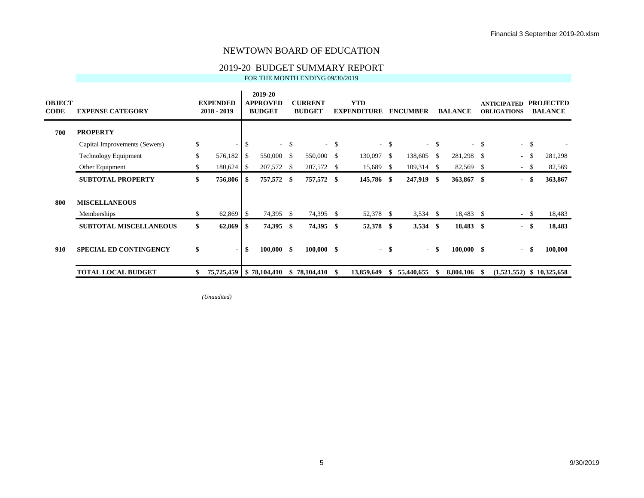#### 2019-20 BUDGET SUMMARY REPORT

FOR THE MONTH ENDING 09/30/2019

| <b>OBJECT</b><br><b>CODE</b> | <b>EXPENSE CATEGORY</b>       | <b>EXPENDED</b><br>$2018 - 2019$ |     | 2019-20<br><b>APPROVED</b><br><b>BUDGET</b> |        | <b>CURRENT</b><br><b>BUDGET</b> |        | <b>YTD</b><br><b>EXPENDITURE</b> |        | <b>ENCUMBER</b> |        | <b>BALANCE</b> |        | <b>ANTICIPATED</b><br><b>OBLIGATIONS</b> |        | <b>PROJECTED</b><br><b>BALANCE</b> |
|------------------------------|-------------------------------|----------------------------------|-----|---------------------------------------------|--------|---------------------------------|--------|----------------------------------|--------|-----------------|--------|----------------|--------|------------------------------------------|--------|------------------------------------|
| 700                          | <b>PROPERTY</b>               |                                  |     |                                             |        |                                 |        |                                  |        |                 |        |                |        |                                          |        |                                    |
|                              | Capital Improvements (Sewers) | \$<br>$\sim$                     | \$  |                                             | $-$ \$ |                                 | $-$ \$ |                                  | $-$ \$ |                 | $-$ \$ |                | $-$ \$ |                                          | $-$ \$ |                                    |
|                              | <b>Technology Equipment</b>   | \$<br>576,182                    | S.  | 550,000 \$                                  |        | 550,000                         | - \$   | 130,097                          | - \$   | 138,605         | - \$   | 281,298 \$     |        | $\sim$                                   | - \$   | 281,298                            |
|                              | Other Equipment               | \$<br>180,624                    | -S  | 207,572                                     | -S     | 207,572 \$                      |        | 15,689                           | -S     | 109,314         | - \$   | 82,569 \$      |        |                                          | $-$ \$ | 82,569                             |
|                              | <b>SUBTOTAL PROPERTY</b>      | \$<br>756,806                    | -S  | 757,572                                     | -\$    | 757,572 \$                      |        | 145,786 \$                       |        | 247,919 \$      |        | 363,867 \$     |        | $\blacksquare$                           | - \$   | 363,867                            |
| 800                          | <b>MISCELLANEOUS</b>          |                                  |     |                                             |        |                                 |        |                                  |        |                 |        |                |        |                                          |        |                                    |
|                              | Memberships                   | \$<br>62,869                     | -\$ | 74,395                                      | -S     | 74,395 \$                       |        | 52,378                           | - \$   | 3,534           | - \$   | 18,483 \$      |        |                                          | $-$ \$ | 18,483                             |
|                              | <b>SUBTOTAL MISCELLANEOUS</b> | \$<br>62,869                     | -S  | 74,395                                      | - \$   | 74,395 \$                       |        | 52,378 \$                        |        | 3,534           | - \$   | 18,483 \$      |        |                                          | - \$   | 18,483                             |
| 910                          | <b>SPECIAL ED CONTINGENCY</b> | \$<br>$\blacksquare$             | \$  | 100,000                                     | - \$   | $100,000$ \$                    |        |                                  | - \$   | $\blacksquare$  | -\$    | $100,000$ \$   |        |                                          | - \$   | 100,000                            |
|                              | <b>TOTAL LOCAL BUDGET</b>     | 75,725,459   \$78,104,410        |     |                                             | \$     | 78,104,410                      | -S     | 13,859,649                       |        | 55,440,655      | Ж      | 8,804,106      |        | (1,521,552)                              |        | \$10,325,658                       |

*(Unaudited)*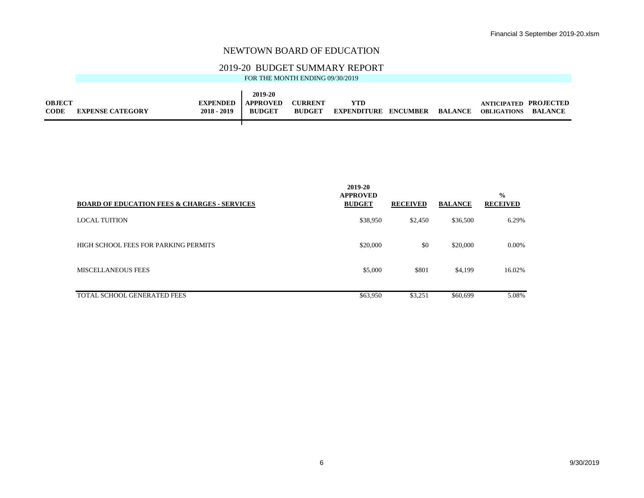#### 2019-20 BUDGET SUMMARY REPORT

|               |                         |                 | 2019-20          |                |                             |                |                       |         |
|---------------|-------------------------|-----------------|------------------|----------------|-----------------------------|----------------|-----------------------|---------|
| <b>OBJECT</b> |                         | <b>EXPENDED</b> | <b>LAPPROVED</b> | <b>CURRENT</b> | YTD                         |                | ANTICIPATED PROJECTED |         |
| <b>CODE</b>   | <b>EXPENSE CATEGORY</b> | $2018 - 2019$   | <b>BUDGET</b>    | <b>BUDGET</b>  | <b>EXPENDITURE ENCUMBER</b> | <b>BALANCE</b> | <b>OBLIGATIONS</b>    | BALANCE |
|               |                         |                 |                  |                |                             |                |                       |         |

| <b>BOARD OF EDUCATION FEES &amp; CHARGES - SERVICES</b> | 2019-20<br><b>APPROVED</b><br><b>BUDGET</b> | <b>RECEIVED</b> | <b>BALANCE</b> | $\frac{6}{9}$<br><b>RECEIVED</b> |
|---------------------------------------------------------|---------------------------------------------|-----------------|----------------|----------------------------------|
| LOCAL TUITION                                           | \$38,950                                    | \$2,450         | \$36,500       | 6.29%                            |
| HIGH SCHOOL FEES FOR PARKING PERMITS                    | \$20,000                                    | \$0             | \$20,000       | 0.00%                            |
| <b>MISCELLANEOUS FEES</b>                               | \$5,000                                     | \$801           | \$4,199        | 16.02%                           |
| TOTAL SCHOOL GENERATED FEES                             | \$63,950                                    | \$3,251         | \$60,699       | 5.08%                            |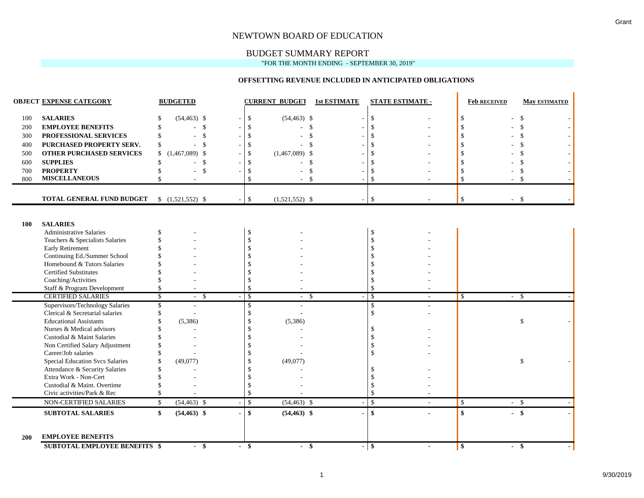#### BUDGET SUMMARY REPORT

"FOR THE MONTH ENDING - SEPTEMBER 30, 2019"

#### **OFFSETTING REVENUE INCLUDED IN ANTICIPATED OBLIGATIONS**

|            | <b>OBJECT EXPENSE CATEGORY</b>                        |                         | <b>BUDGETED</b>              |                |               | <b>CURRENT BUDGET</b> | <b>1st ESTIMATE</b> |                                | <b>STATE ESTIMATE -</b> | <b>Feb RECEIVED</b>             |        | <b>May ESTIMATED</b> |
|------------|-------------------------------------------------------|-------------------------|------------------------------|----------------|---------------|-----------------------|---------------------|--------------------------------|-------------------------|---------------------------------|--------|----------------------|
| 100        | <b>SALARIES</b>                                       |                         | $(54, 463)$ \$               |                | \$            | $(54, 463)$ \$        | $\sim$              | \$                             |                         | \$                              |        | \$                   |
| 200        | <b>EMPLOYEE BENEFITS</b>                              |                         | $\mathbf{\$}$                |                | -\$           | \$                    |                     | $\mathcal{S}$                  |                         |                                 |        | $\mathcal{S}$        |
| 300        | PROFESSIONAL SERVICES                                 |                         | \$                           |                |               | \$                    |                     | $\mathcal{S}$                  |                         |                                 |        | \$                   |
| 400        | PURCHASED PROPERTY SERV.                              | \$                      | -\$                          |                |               | \$.                   |                     | $\mathcal{S}$                  |                         |                                 |        | \$                   |
| 500        | <b>OTHER PURCHASED SERVICES</b>                       | \$                      | $(1,467,089)$ \$             |                | -\$           | $(1,467,089)$ \$      |                     | <sup>\$</sup>                  |                         |                                 |        | \$                   |
| 600        | <b>SUPPLIES</b>                                       |                         | $\mathbf{\$}$                |                |               | <sup>\$</sup>         |                     | <sup>\$</sup>                  |                         |                                 |        | \$                   |
| 700        | <b>PROPERTY</b>                                       |                         | \$                           |                | S.            | \$                    |                     | <sup>\$</sup>                  |                         |                                 |        | \$                   |
| 800        | <b>MISCELLANEOUS</b>                                  |                         |                              |                | $\mathcal{S}$ | $\mathbf{s}$          |                     | $\mathcal{S}$                  |                         | $\mathcal{S}$                   |        | -\$                  |
|            |                                                       |                         |                              |                |               |                       |                     |                                |                         |                                 |        |                      |
|            | TOTAL GENERAL FUND BUDGET                             |                         | $$(1,521,552)$ \$            |                | $\mathbb{S}$  | $(1,521,552)$ \$      | $\sim$              | \$                             |                         | \$                              | $-$ \$ |                      |
|            |                                                       |                         |                              |                |               |                       |                     |                                |                         |                                 |        |                      |
| 100        | <b>SALARIES</b>                                       |                         |                              |                |               |                       |                     |                                |                         |                                 |        |                      |
|            | <b>Administrative Salaries</b>                        |                         |                              |                | <sup>\$</sup> |                       |                     | <sup>\$</sup>                  |                         |                                 |        |                      |
|            | Teachers & Specialists Salaries                       |                         |                              |                |               |                       |                     | $\mathbf{\hat{S}}$             |                         |                                 |        |                      |
|            | Early Retirement                                      |                         |                              |                |               |                       |                     |                                |                         |                                 |        |                      |
|            | Continuing Ed./Summer School                          |                         |                              |                |               |                       |                     |                                |                         |                                 |        |                      |
|            | Homebound & Tutors Salaries                           |                         |                              |                |               |                       |                     | -S                             |                         |                                 |        |                      |
|            | <b>Certified Substitutes</b>                          |                         |                              |                |               |                       |                     |                                |                         |                                 |        |                      |
|            | Coaching/Activities                                   |                         |                              |                |               |                       |                     | <sup>\$</sup>                  |                         |                                 |        |                      |
|            | Staff & Program Development                           |                         |                              |                | <sup>\$</sup> |                       |                     | <sup>\$</sup>                  |                         |                                 |        |                      |
|            | <b>CERTIFIED SALARIES</b>                             | $\overline{\mathbb{S}}$ | $\mathbf{\hat{S}}$<br>$\sim$ |                | $\mathcal{S}$ | -\$<br>$\sim$         |                     | $\overline{\mathcal{S}}$       |                         | <b>S</b>                        | $\sim$ | - \$                 |
|            | Supervisors/Technology Salaries                       |                         |                              |                | \$            |                       |                     | <sup>\$</sup>                  |                         |                                 |        |                      |
|            | Clerical & Secretarial salaries                       |                         |                              |                | \$            |                       |                     | $\mathbf{\hat{S}}$             |                         |                                 |        |                      |
|            | <b>Educational Assistants</b>                         |                         | (5,386)                      |                | <sup>\$</sup> | (5,386)               |                     |                                |                         |                                 |        | \$                   |
|            | Nurses & Medical advisors                             |                         |                              |                |               |                       |                     | -S                             |                         |                                 |        |                      |
|            | Custodial & Maint Salaries                            |                         |                              |                |               |                       |                     | <sup>\$</sup>                  |                         |                                 |        |                      |
|            | Non Certified Salary Adjustment                       |                         |                              |                |               |                       |                     | <sup>\$</sup>                  |                         |                                 |        |                      |
|            | Career/Job salaries                                   |                         |                              |                |               |                       |                     | <sup>\$</sup>                  |                         |                                 |        |                      |
|            | <b>Special Education Svcs Salaries</b>                |                         | (49,077)                     |                |               | (49,077)              |                     |                                |                         |                                 |        | \$                   |
|            | Attendance & Security Salaries                        |                         |                              |                |               |                       |                     |                                |                         |                                 |        |                      |
|            | Extra Work - Non-Cert                                 |                         |                              |                |               |                       |                     |                                |                         |                                 |        |                      |
|            | Custodial & Maint. Overtime                           |                         |                              |                | \$            |                       |                     | <sup>\$</sup><br><sup>\$</sup> |                         |                                 |        |                      |
|            | Civic activities/Park & Rec<br>NON-CERTIFIED SALARIES | $\mathbf{\hat{S}}$      | $(54, 463)$ \$               |                | $\mathbb{S}$  | $(54, 463)$ \$        |                     | $\mathbf S$                    |                         | $\mathcal{S}$                   | $-$ \$ |                      |
|            |                                                       |                         |                              |                |               |                       |                     |                                |                         |                                 |        |                      |
|            | <b>SUBTOTAL SALARIES</b>                              | \$                      | $(54, 463)$ \$               |                | $\mathbf{s}$  | $(54, 463)$ \$        |                     | $\mathbf{s}$                   |                         | $\boldsymbol{\hat{\mathbf{s}}}$ | $-$ \$ |                      |
|            |                                                       |                         |                              |                |               |                       |                     |                                |                         |                                 |        |                      |
| <b>200</b> | <b>EMPLOYEE BENEFITS</b>                              |                         |                              |                |               |                       |                     |                                |                         |                                 |        |                      |
|            | <b>SUBTOTAL EMPLOYEE BENEFITS \$</b>                  |                         | - \$                         | $\blacksquare$ | -\$           | -\$<br>$\sim$         |                     | - \$                           |                         | $\vert$ \$                      | - \$   |                      |

 $\blacksquare$